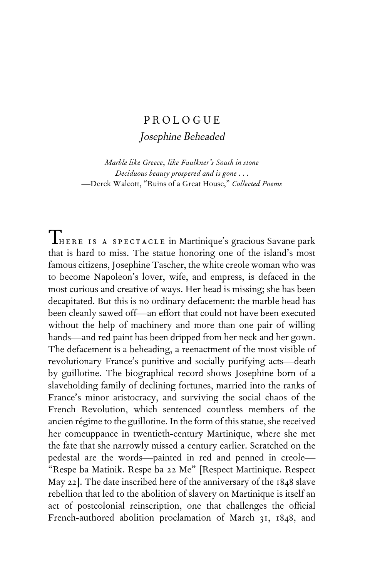## PROLOGUE

Josephine Beheaded

*Marble like Greece, like Faulkner's South in stone Deciduous beauty prospered and is gone* . . . —Derek Walcott, "Ruins of a Great House," *Collected Poems*

There is a spectacle in Martinique's gracious Savane park that is hard to miss. The statue honoring one of the island's most famous citizens, Josephine Tascher, the white creole woman who was to become Napoleon's lover, wife, and empress, is defaced in the most curious and creative of ways. Her head is missing; she has been decapitated. But this is no ordinary defacement: the marble head has been cleanly sawed off—an effort that could not have been executed without the help of machinery and more than one pair of willing hands—and red paint has been dripped from her neck and her gown. The defacement is a beheading, a reenactment of the most visible of revolutionary France's punitive and socially purifying acts—death by guillotine. The biographical record shows Josephine born of a slaveholding family of declining fortunes, married into the ranks of France's minor aristocracy, and surviving the social chaos of the French Revolution, which sentenced countless members of the ancien régime to the guillotine. In the form of this statue, she received her comeuppance in twentieth-century Martinique, where she met the fate that she narrowly missed a century earlier. Scratched on the pedestal are the words—painted in red and penned in creole— "Respe ba Matinik. Respe ba 22 Me" [Respect Martinique. Respect May 22]. The date inscribed here of the anniversary of the 1848 slave rebellion that led to the abolition of slavery on Martinique is itself an act of postcolonial reinscription, one that challenges the official French-authored abolition proclamation of March 31, 1848, and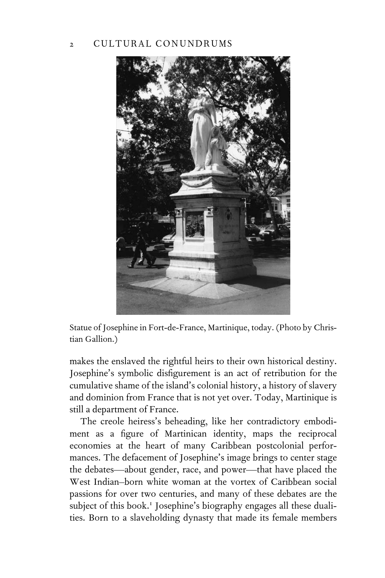## 2 CULTURAL CONUNDRUMS



Statue of Josephine in Fort-de-France, Martinique, today. (Photo by Christian Gallion.)

makes the enslaved the rightful heirs to their own historical destiny. Josephine's symbolic disfigurement is an act of retribution for the cumulative shame of the island's colonial history, a history of slavery and dominion from France that is not yet over. Today, Martinique is still a department of France.

The creole heiress's beheading, like her contradictory embodiment as a figure of Martinican identity, maps the reciprocal economies at the heart of many Caribbean postcolonial performances. The defacement of Josephine's image brings to center stage the debates—about gender, race, and power—that have placed the West Indian–born white woman at the vortex of Caribbean social passions for over two centuries, and many of these debates are the subject of this book.<sup>1</sup> Josephine's biography engages all these dualities. Born to a slaveholding dynasty that made its female members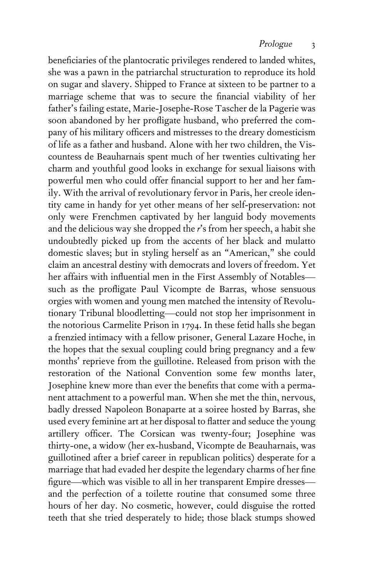beneficiaries of the plantocratic privileges rendered to landed whites, she was a pawn in the patriarchal structuration to reproduce its hold on sugar and slavery. Shipped to France at sixteen to be partner to a marriage scheme that was to secure the financial viability of her father's failing estate, Marie-Josephe-Rose Tascher de la Pagerie was soon abandoned by her profligate husband, who preferred the company of his military officers and mistresses to the dreary domesticism of life as a father and husband. Alone with her two children, the Viscountess de Beauharnais spent much of her twenties cultivating her charm and youthful good looks in exchange for sexual liaisons with powerful men who could offer financial support to her and her family. With the arrival of revolutionary fervor in Paris, her creole identity came in handy for yet other means of her self-preservation: not only were Frenchmen captivated by her languid body movements and the delicious way she dropped the *r*'s from her speech, a habit she undoubtedly picked up from the accents of her black and mulatto domestic slaves; but in styling herself as an "American," she could claim an ancestral destiny with democrats and lovers of freedom. Yet her affairs with influential men in the First Assembly of Notablessuch as the profligate Paul Vicompte de Barras, whose sensuous orgies with women and young men matched the intensity of Revolutionary Tribunal bloodletting—could not stop her imprisonment in the notorious Carmelite Prison in 1794. In these fetid halls she began a frenzied intimacy with a fellow prisoner, General Lazare Hoche, in the hopes that the sexual coupling could bring pregnancy and a few months' reprieve from the guillotine. Released from prison with the restoration of the National Convention some few months later, Josephine knew more than ever the benefits that come with a permanent attachment to a powerful man. When she met the thin, nervous, badly dressed Napoleon Bonaparte at a soiree hosted by Barras, she used every feminine art at her disposal to flatter and seduce the young artillery officer. The Corsican was twenty-four; Josephine was thirty-one, a widow (her ex-husband, Vicompte de Beauharnais, was guillotined after a brief career in republican politics) desperate for a marriage that had evaded her despite the legendary charms of her fine figure—which was visible to all in her transparent Empire dresses and the perfection of a toilette routine that consumed some three hours of her day. No cosmetic, however, could disguise the rotted teeth that she tried desperately to hide; those black stumps showed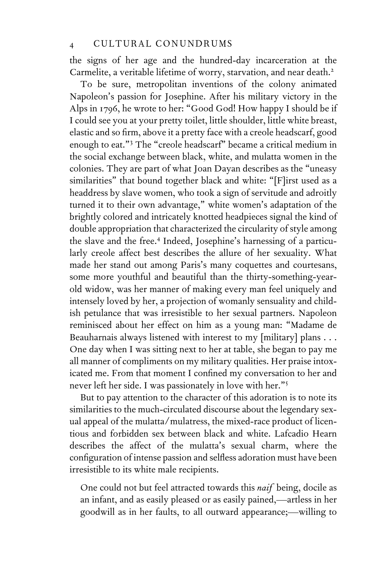the signs of her age and the hundred-day incarceration at the Carmelite, a veritable lifetime of worry, starvation, and near death.<sup>2</sup>

To be sure, metropolitan inventions of the colony animated Napoleon's passion for Josephine. After his military victory in the Alps in 1796, he wrote to her: "Good God! How happy I should be if I could see you at your pretty toilet, little shoulder, little white breast, elastic and so firm, above it a pretty face with a creole headscarf, good enough to eat."3 The "creole headscarf" became a critical medium in the social exchange between black, white, and mulatta women in the colonies. They are part of what Joan Dayan describes as the "uneasy similarities" that bound together black and white: "[F]irst used as a headdress by slave women, who took a sign of servitude and adroitly turned it to their own advantage," white women's adaptation of the brightly colored and intricately knotted headpieces signal the kind of double appropriation that characterized the circularity of style among the slave and the free.<sup>4</sup> Indeed, Josephine's harnessing of a particularly creole affect best describes the allure of her sexuality. What made her stand out among Paris's many coquettes and courtesans, some more youthful and beautiful than the thirty-something-yearold widow, was her manner of making every man feel uniquely and intensely loved by her, a projection of womanly sensuality and childish petulance that was irresistible to her sexual partners. Napoleon reminisced about her effect on him as a young man: "Madame de Beauharnais always listened with interest to my [military] plans . . . One day when I was sitting next to her at table, she began to pay me all manner of compliments on my military qualities. Her praise intoxicated me. From that moment I confined my conversation to her and never left her side. I was passionately in love with her."<sup>5</sup>

But to pay attention to the character of this adoration is to note its similarities to the much-circulated discourse about the legendary sexual appeal of the mulatta/mulatress, the mixed-race product of licentious and forbidden sex between black and white. Lafcadio Hearn describes the affect of the mulatta's sexual charm, where the configuration of intense passion and selfless adoration must have been irresistible to its white male recipients.

One could not but feel attracted towards this *naif* being, docile as an infant, and as easily pleased or as easily pained,—artless in her goodwill as in her faults, to all outward appearance;—willing to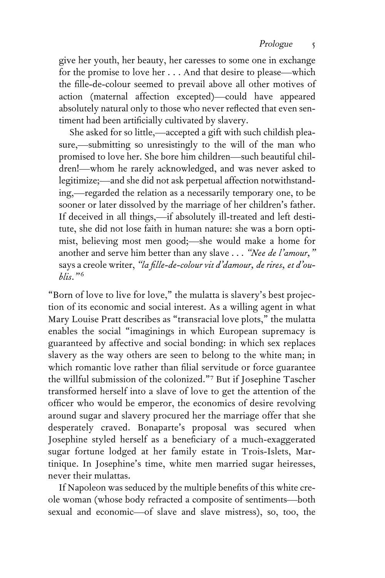give her youth, her beauty, her caresses to some one in exchange for the promise to love her . . . And that desire to please—which the fille-de-colour seemed to prevail above all other motives of action (maternal affection excepted)—could have appeared absolutely natural only to those who never reflected that even sentiment had been artificially cultivated by slavery.

She asked for so little,—accepted a gift with such childish pleasure,—submitting so unresistingly to the will of the man who promised to love her. She bore him children—such beautiful children!—whom he rarely acknowledged, and was never asked to legitimize;—and she did not ask perpetual affection notwithstanding,—regarded the relation as a necessarily temporary one, to be sooner or later dissolved by the marriage of her children's father. If deceived in all things,—if absolutely ill-treated and left destitute, she did not lose faith in human nature: she was a born optimist, believing most men good;—she would make a home for another and serve him better than any slave . . . *"Nee de l'amour,"* says a creole writer, "la fille-de-colour vit d'damour, de rires, et d'ou*blis."* <sup>6</sup>

"Born of love to live for love," the mulatta is slavery's best projection of its economic and social interest. As a willing agent in what Mary Louise Pratt describes as "transracial love plots," the mulatta enables the social "imaginings in which European supremacy is guaranteed by affective and social bonding: in which sex replaces slavery as the way others are seen to belong to the white man; in which romantic love rather than filial servitude or force guarantee the willful submission of the colonized."<sup>7</sup> But if Josephine Tascher transformed herself into a slave of love to get the attention of the officer who would be emperor, the economics of desire revolving around sugar and slavery procured her the marriage offer that she desperately craved. Bonaparte's proposal was secured when Josephine styled herself as a beneficiary of a much-exaggerated sugar fortune lodged at her family estate in Trois-Islets, Martinique. In Josephine's time, white men married sugar heiresses, never their mulattas.

If Napoleon was seduced by the multiple benefits of this white creole woman (whose body refracted a composite of sentiments—both sexual and economic—of slave and slave mistress), so, too, the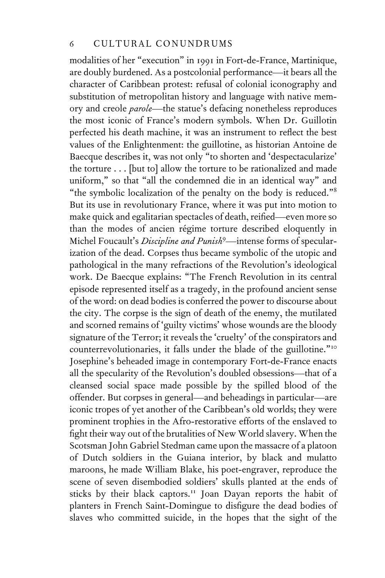modalities of her "execution" in 1991 in Fort-de-France, Martinique, are doubly burdened. As a postcolonial performance—it bears all the character of Caribbean protest: refusal of colonial iconography and substitution of metropolitan history and language with native memory and creole *parole*—the statue's defacing nonetheless reproduces the most iconic of France's modern symbols. When Dr. Guillotin perfected his death machine, it was an instrument to reflect the best values of the Enlightenment: the guillotine, as historian Antoine de Baecque describes it, was not only "to shorten and 'despectacularize' the torture . . . [but to] allow the torture to be rationalized and made uniform," so that "all the condemned die in an identical way" and "the symbolic localization of the penalty on the body is reduced."<sup>8</sup> But its use in revolutionary France, where it was put into motion to make quick and egalitarian spectacles of death, reified—even more so than the modes of ancien régime torture described eloquently in Michel Foucault's *Discipline and Punish*<sup>9</sup> —intense forms of specularization of the dead. Corpses thus became symbolic of the utopic and pathological in the many refractions of the Revolution's ideological work. De Baecque explains: "The French Revolution in its central episode represented itself as a tragedy, in the profound ancient sense of the word: on dead bodies is conferred the power to discourse about the city. The corpse is the sign of death of the enemy, the mutilated and scorned remains of 'guilty victims' whose wounds are the bloody signature of the Terror; it reveals the 'cruelty' of the conspirators and counterrevolutionaries, it falls under the blade of the guillotine."<sup>10</sup> Josephine's beheaded image in contemporary Fort-de-France enacts all the specularity of the Revolution's doubled obsessions—that of a cleansed social space made possible by the spilled blood of the offender. But corpses in general—and beheadings in particular—are iconic tropes of yet another of the Caribbean's old worlds; they were prominent trophies in the Afro-restorative efforts of the enslaved to fight their way out of the brutalities of New World slavery. When the Scotsman John Gabriel Stedman came upon the massacre of a platoon of Dutch soldiers in the Guiana interior, by black and mulatto maroons, he made William Blake, his poet-engraver, reproduce the scene of seven disembodied soldiers' skulls planted at the ends of sticks by their black captors.<sup>11</sup> Joan Dayan reports the habit of planters in French Saint-Domingue to disfigure the dead bodies of slaves who committed suicide, in the hopes that the sight of the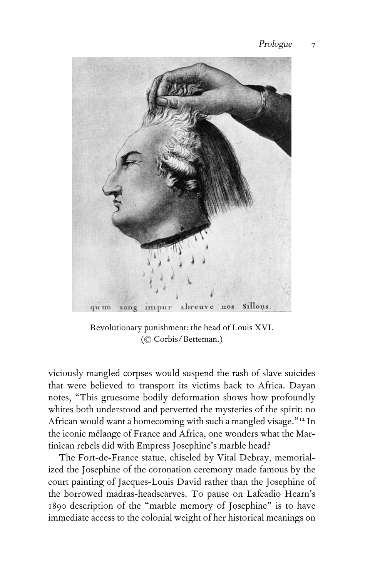

Revolutionary punishment: the head of Louis XVI. (© Corbis/Betteman.)

viciously mangled corpses would suspend the rash of slave suicides that were believed to transport its victims back to Africa. Dayan notes, "This gruesome bodily deformation shows how profoundly whites both understood and perverted the mysteries of the spirit: no African would want a homecoming with such a mangled visage."<sup>12</sup> In the iconic mélange of France and Africa, one wonders what the Martinican rebels did with Empress Josephine's marble head?

The Fort-de-France statue, chiseled by Vital Debray, memorialized the Josephine of the coronation ceremony made famous by the court painting of Jacques-Louis David rather than the Josephine of the borrowed madras-headscarves. To pause on Lafcadio Hearn's 1890 description of the "marble memory of Josephine" is to have immediate access to the colonial weight of her historical meanings on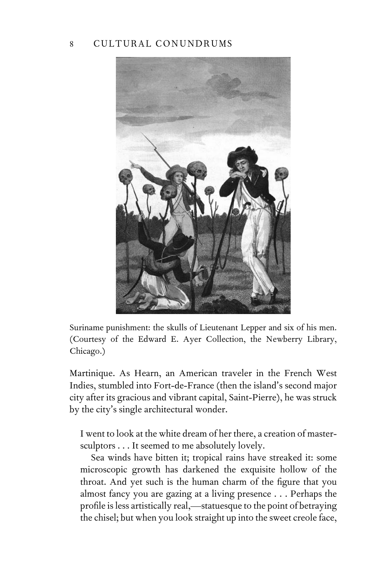## 8 CULTURAL CONUNDRUMS



Suriname punishment: the skulls of Lieutenant Lepper and six of his men. (Courtesy of the Edward E. Ayer Collection, the Newberry Library, Chicago.)

Martinique. As Hearn, an American traveler in the French West Indies, stumbled into Fort-de-France (then the island's second major city after its gracious and vibrant capital, Saint-Pierre), he was struck by the city's single architectural wonder.

I went to look at the white dream of her there, a creation of mastersculptors . . . It seemed to me absolutely lovely.

Sea winds have bitten it; tropical rains have streaked it: some microscopic growth has darkened the exquisite hollow of the throat. And yet such is the human charm of the figure that you almost fancy you are gazing at a living presence . . . Perhaps the profile is less artistically real,—statuesque to the point of betraying the chisel; but when you look straight up into the sweet creole face,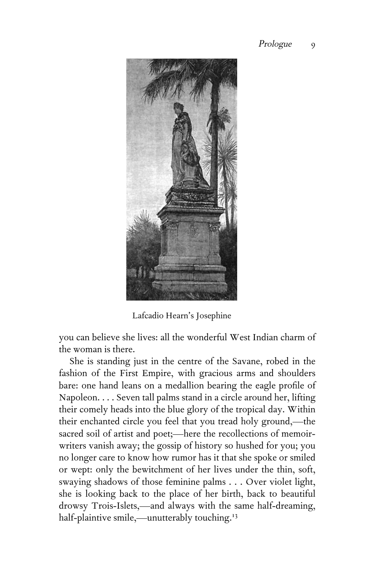

Lafcadio Hearn's Josephine

you can believe she lives: all the wonderful West Indian charm of the woman is there.

She is standing just in the centre of the Savane, robed in the fashion of the First Empire, with gracious arms and shoulders bare: one hand leans on a medallion bearing the eagle profile of Napoleon. . . . Seven tall palms stand in a circle around her, lifting their comely heads into the blue glory of the tropical day. Within their enchanted circle you feel that you tread holy ground,—the sacred soil of artist and poet;—here the recollections of memoirwriters vanish away; the gossip of history so hushed for you; you no longer care to know how rumor has it that she spoke or smiled or wept: only the bewitchment of her lives under the thin, soft, swaying shadows of those feminine palms . . . Over violet light, she is looking back to the place of her birth, back to beautiful drowsy Trois-Islets,—and always with the same half-dreaming, half-plaintive smile,—unutterably touching.<sup>13</sup>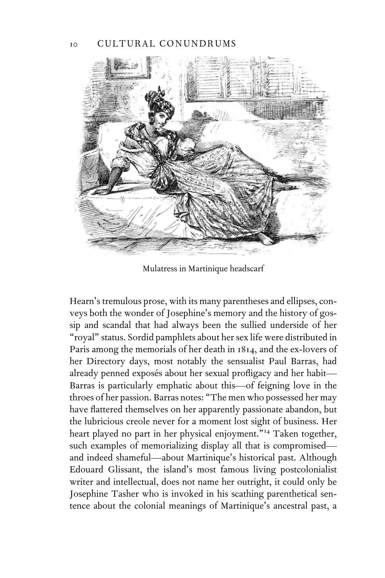

Mulatress in Martinique headscarf

Hearn's tremulous prose, with its many parentheses and ellipses, conveys both the wonder of Josephine's memory and the history of gossip and scandal that had always been the sullied underside of her "royal" status. Sordid pamphlets about her sex life were distributed in Paris among the memorials of her death in 1814, and the ex-lovers of her Directory days, most notably the sensualist Paul Barras, had already penned exposés about her sexual profligacy and her habit-Barras is particularly emphatic about this—of feigning love in the throes of her passion. Barras notes: "The men who possessed her may have flattered themselves on her apparently passionate abandon, but the lubricious creole never for a moment lost sight of business. Her heart played no part in her physical enjoyment."<sup>14</sup> Taken together, such examples of memorializing display all that is compromised and indeed shameful—about Martinique's historical past. Although Edouard Glissant, the island's most famous living postcolonialist writer and intellectual, does not name her outright, it could only be Josephine Tasher who is invoked in his scathing parenthetical sentence about the colonial meanings of Martinique's ancestral past, a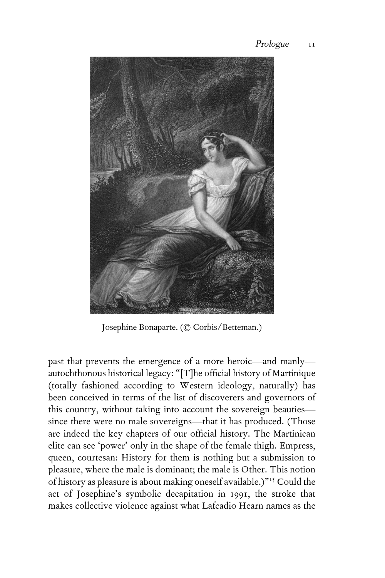

Josephine Bonaparte. (© Corbis/Betteman.)

past that prevents the emergence of a more heroic—and manly autochthonous historical legacy: "[T]he official history of Martinique (totally fashioned according to Western ideology, naturally) has been conceived in terms of the list of discoverers and governors of this country, without taking into account the sovereign beauties since there were no male sovereigns—that it has produced. (Those are indeed the key chapters of our official history. The Martinican elite can see 'power' only in the shape of the female thigh. Empress, queen, courtesan: History for them is nothing but a submission to pleasure, where the male is dominant; the male is Other. This notion of history as pleasure is about making oneself available.)"15 Could the act of Josephine's symbolic decapitation in 1991, the stroke that makes collective violence against what Lafcadio Hearn names as the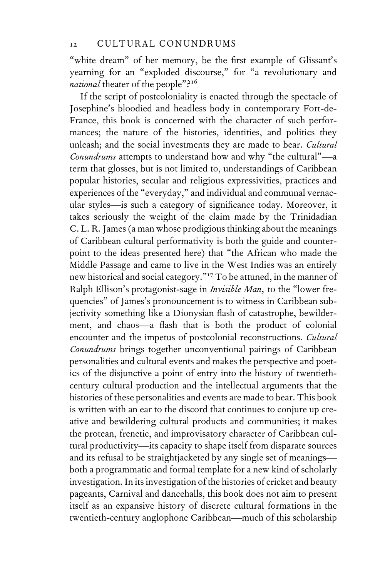"white dream" of her memory, be the first example of Glissant's yearning for an "exploded discourse," for "a revolutionary and *national* theater of the people"?<sup>16</sup>

If the script of postcoloniality is enacted through the spectacle of Josephine's bloodied and headless body in contemporary Fort-de-France, this book is concerned with the character of such performances; the nature of the histories, identities, and politics they unleash; and the social investments they are made to bear. *Cultural Conundrums* attempts to understand how and why "the cultural"—a term that glosses, but is not limited to, understandings of Caribbean popular histories, secular and religious expressivities, practices and experiences of the "everyday," and individual and communal vernacular styles—is such a category of significance today. Moreover, it takes seriously the weight of the claim made by the Trinidadian C. L. R. James (a man whose prodigious thinking about the meanings of Caribbean cultural performativity is both the guide and counterpoint to the ideas presented here) that "the African who made the Middle Passage and came to live in the West Indies was an entirely new historical and social category."<sup>17</sup> To be attuned, in the manner of Ralph Ellison's protagonist-sage in *Invisible Man,* to the "lower frequencies" of James's pronouncement is to witness in Caribbean subjectivity something like a Dionysian flash of catastrophe, bewilderment, and chaos—a flash that is both the product of colonial encounter and the impetus of postcolonial reconstructions. *Cultural Conundrums* brings together unconventional pairings of Caribbean personalities and cultural events and makes the perspective and poetics of the disjunctive a point of entry into the history of twentiethcentury cultural production and the intellectual arguments that the histories of these personalities and events are made to bear. This book is written with an ear to the discord that continues to conjure up creative and bewildering cultural products and communities; it makes the protean, frenetic, and improvisatory character of Caribbean cultural productivity—its capacity to shape itself from disparate sources and its refusal to be straightjacketed by any single set of meanings both a programmatic and formal template for a new kind of scholarly investigation. In its investigation of the histories of cricket and beauty pageants, Carnival and dancehalls, this book does not aim to present itself as an expansive history of discrete cultural formations in the twentieth-century anglophone Caribbean—much of this scholarship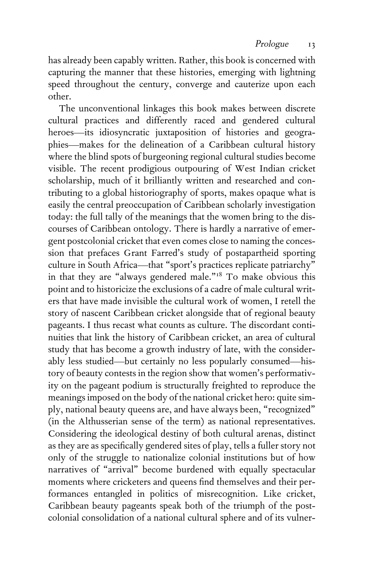has already been capably written. Rather, this book is concerned with capturing the manner that these histories, emerging with lightning speed throughout the century, converge and cauterize upon each other.

The unconventional linkages this book makes between discrete cultural practices and differently raced and gendered cultural heroes—its idiosyncratic juxtaposition of histories and geographies—makes for the delineation of a Caribbean cultural history where the blind spots of burgeoning regional cultural studies become visible. The recent prodigious outpouring of West Indian cricket scholarship, much of it brilliantly written and researched and contributing to a global historiography of sports, makes opaque what is easily the central preoccupation of Caribbean scholarly investigation today: the full tally of the meanings that the women bring to the discourses of Caribbean ontology. There is hardly a narrative of emergent postcolonial cricket that even comes close to naming the concession that prefaces Grant Farred's study of postapartheid sporting culture in South Africa—that "sport's practices replicate patriarchy" in that they are "always gendered male."<sup>18</sup> To make obvious this point and to historicize the exclusions of a cadre of male cultural writers that have made invisible the cultural work of women, I retell the story of nascent Caribbean cricket alongside that of regional beauty pageants. I thus recast what counts as culture. The discordant continuities that link the history of Caribbean cricket, an area of cultural study that has become a growth industry of late, with the considerably less studied—but certainly no less popularly consumed—history of beauty contests in the region show that women's performativity on the pageant podium is structurally freighted to reproduce the meanings imposed on the body of the national cricket hero: quite simply, national beauty queens are, and have always been, "recognized" (in the Althusserian sense of the term) as national representatives. Considering the ideological destiny of both cultural arenas, distinct as they are as specifically gendered sites of play, tells a fuller story not only of the struggle to nationalize colonial institutions but of how narratives of "arrival" become burdened with equally spectacular moments where cricketers and queens find themselves and their performances entangled in politics of misrecognition. Like cricket, Caribbean beauty pageants speak both of the triumph of the postcolonial consolidation of a national cultural sphere and of its vulner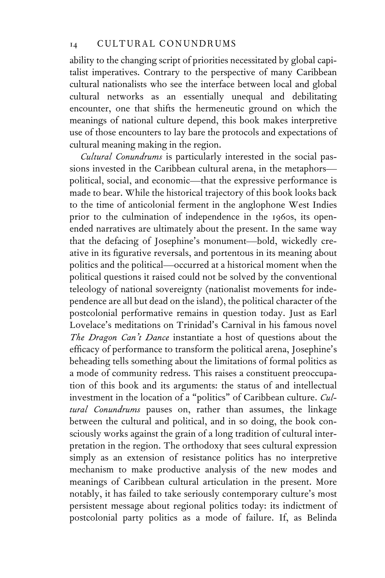ability to the changing script of priorities necessitated by global capitalist imperatives. Contrary to the perspective of many Caribbean cultural nationalists who see the interface between local and global cultural networks as an essentially unequal and debilitating encounter, one that shifts the hermeneutic ground on which the meanings of national culture depend, this book makes interpretive use of those encounters to lay bare the protocols and expectations of cultural meaning making in the region.

*Cultural Conundrums* is particularly interested in the social passions invested in the Caribbean cultural arena, in the metaphors political, social, and economic—that the expressive performance is made to bear. While the historical trajectory of this book looks back to the time of anticolonial ferment in the anglophone West Indies prior to the culmination of independence in the 1960s, its openended narratives are ultimately about the present. In the same way that the defacing of Josephine's monument—bold, wickedly creative in its figurative reversals, and portentous in its meaning about politics and the political—occurred at a historical moment when the political questions it raised could not be solved by the conventional teleology of national sovereignty (nationalist movements for independence are all but dead on the island), the political character of the postcolonial performative remains in question today. Just as Earl Lovelace's meditations on Trinidad's Carnival in his famous novel *The Dragon Can't Dance* instantiate a host of questions about the efficacy of performance to transform the political arena, Josephine's beheading tells something about the limitations of formal politics as a mode of community redress. This raises a constituent preoccupation of this book and its arguments: the status of and intellectual investment in the location of a "politics" of Caribbean culture. *Cultural Conundrums* pauses on, rather than assumes, the linkage between the cultural and political, and in so doing, the book consciously works against the grain of a long tradition of cultural interpretation in the region. The orthodoxy that sees cultural expression simply as an extension of resistance politics has no interpretive mechanism to make productive analysis of the new modes and meanings of Caribbean cultural articulation in the present. More notably, it has failed to take seriously contemporary culture's most persistent message about regional politics today: its indictment of postcolonial party politics as a mode of failure. If, as Belinda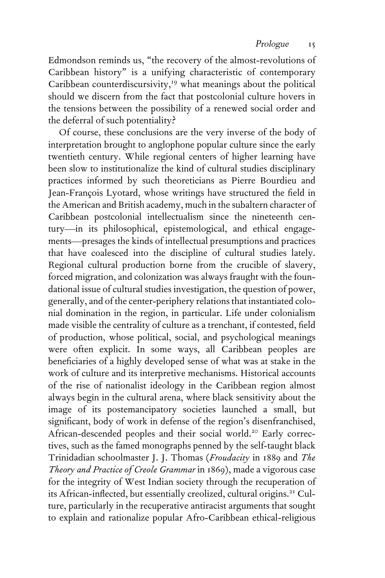Edmondson reminds us, "the recovery of the almost-revolutions of Caribbean history" is a unifying characteristic of contemporary Caribbean counterdiscursivity,<sup>19</sup> what meanings about the political should we discern from the fact that postcolonial culture hovers in the tensions between the possibility of a renewed social order and the deferral of such potentiality?

Of course, these conclusions are the very inverse of the body of interpretation brought to anglophone popular culture since the early twentieth century. While regional centers of higher learning have been slow to institutionalize the kind of cultural studies disciplinary practices informed by such theoreticians as Pierre Bourdieu and Jean-François Lyotard, whose writings have structured the field in the American and British academy, much in the subaltern character of Caribbean postcolonial intellectualism since the nineteenth century—in its philosophical, epistemological, and ethical engagements—presages the kinds of intellectual presumptions and practices that have coalesced into the discipline of cultural studies lately. Regional cultural production borne from the crucible of slavery, forced migration, and colonization was always fraught with the foundational issue of cultural studies investigation, the question of power, generally, and of the center-periphery relations that instantiated colonial domination in the region, in particular. Life under colonialism made visible the centrality of culture as a trenchant, if contested, field of production, whose political, social, and psychological meanings were often explicit. In some ways, all Caribbean peoples are beneficiaries of a highly developed sense of what was at stake in the work of culture and its interpretive mechanisms. Historical accounts of the rise of nationalist ideology in the Caribbean region almost always begin in the cultural arena, where black sensitivity about the image of its postemancipatory societies launched a small, but significant, body of work in defense of the region's disenfranchised, African-descended peoples and their social world.<sup>20</sup> Early correctives, such as the famed monographs penned by the self-taught black Trinidadian schoolmaster J. J. Thomas (*Froudacity* in 1889 and *The Theory and Practice of Creole Grammar* in 1869), made a vigorous case for the integrity of West Indian society through the recuperation of its African-inflected, but essentially creolized, cultural origins.<sup>21</sup> Culture, particularly in the recuperative antiracist arguments that sought to explain and rationalize popular Afro-Caribbean ethical-religious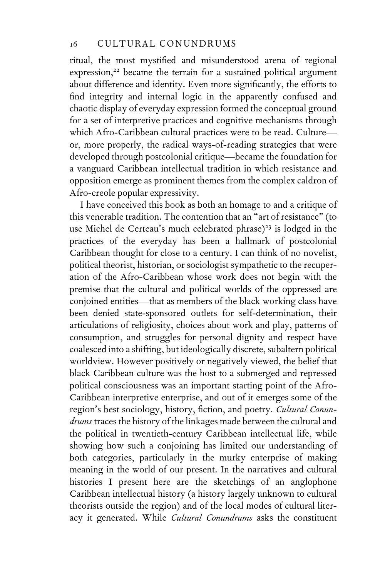ritual, the most mystified and misunderstood arena of regional expression,<sup>22</sup> became the terrain for a sustained political argument about difference and identity. Even more significantly, the efforts to find integrity and internal logic in the apparently confused and chaotic display of everyday expression formed the conceptual ground for a set of interpretive practices and cognitive mechanisms through which Afro-Caribbean cultural practices were to be read. Culture or, more properly, the radical ways-of-reading strategies that were developed through postcolonial critique—became the foundation for a vanguard Caribbean intellectual tradition in which resistance and opposition emerge as prominent themes from the complex caldron of Afro-creole popular expressivity.

I have conceived this book as both an homage to and a critique of this venerable tradition. The contention that an "art of resistance" (to use Michel de Certeau's much celebrated phrase)<sup>23</sup> is lodged in the practices of the everyday has been a hallmark of postcolonial Caribbean thought for close to a century. I can think of no novelist, political theorist, historian, or sociologist sympathetic to the recuperation of the Afro-Caribbean whose work does not begin with the premise that the cultural and political worlds of the oppressed are conjoined entities—that as members of the black working class have been denied state-sponsored outlets for self-determination, their articulations of religiosity, choices about work and play, patterns of consumption, and struggles for personal dignity and respect have coalesced into a shifting, but ideologically discrete, subaltern political worldview. However positively or negatively viewed, the belief that black Caribbean culture was the host to a submerged and repressed political consciousness was an important starting point of the Afro-Caribbean interpretive enterprise, and out of it emerges some of the region's best sociology, history, fiction, and poetry. *Cultural Conundrums* traces the history of the linkages made between the cultural and the political in twentieth-century Caribbean intellectual life, while showing how such a conjoining has limited our understanding of both categories, particularly in the murky enterprise of making meaning in the world of our present. In the narratives and cultural histories I present here are the sketchings of an anglophone Caribbean intellectual history (a history largely unknown to cultural theorists outside the region) and of the local modes of cultural literacy it generated. While *Cultural Conundrums* asks the constituent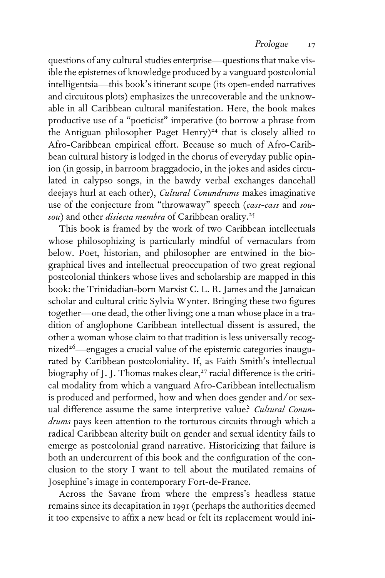questions of any cultural studies enterprise—questions that make visible the epistemes of knowledge produced by a vanguard postcolonial intelligentsia—this book's itinerant scope (its open-ended narratives and circuitous plots) emphasizes the unrecoverable and the unknowable in all Caribbean cultural manifestation. Here, the book makes productive use of a "poeticist" imperative (to borrow a phrase from the Antiguan philosopher Paget Henry)<sup>24</sup> that is closely allied to Afro-Caribbean empirical effort. Because so much of Afro-Caribbean cultural history is lodged in the chorus of everyday public opinion (in gossip, in barroom braggadocio, in the jokes and asides circulated in calypso songs, in the bawdy verbal exchanges dancehall deejays hurl at each other), *Cultural Conundrums* makes imaginative use of the conjecture from "throwaway" speech (*cass-cass* and *sousou*) and other *disiecta membra* of Caribbean orality.<sup>25</sup>

This book is framed by the work of two Caribbean intellectuals whose philosophizing is particularly mindful of vernaculars from below. Poet, historian, and philosopher are entwined in the biographical lives and intellectual preoccupation of two great regional postcolonial thinkers whose lives and scholarship are mapped in this book: the Trinidadian-born Marxist C. L. R. James and the Jamaican scholar and cultural critic Sylvia Wynter. Bringing these two figures together—one dead, the other living; one a man whose place in a tradition of anglophone Caribbean intellectual dissent is assured, the other a woman whose claim to that tradition is less universally recognized<sup>26</sup>—engages a crucial value of the epistemic categories inaugurated by Caribbean postcoloniality. If, as Faith Smith's intellectual biography of J. J. Thomas makes clear,<sup>27</sup> racial difference is the critical modality from which a vanguard Afro-Caribbean intellectualism is produced and performed, how and when does gender and/or sexual difference assume the same interpretive value? *Cultural Conundrums* pays keen attention to the torturous circuits through which a radical Caribbean alterity built on gender and sexual identity fails to emerge as postcolonial grand narrative. Historicizing that failure is both an undercurrent of this book and the configuration of the conclusion to the story I want to tell about the mutilated remains of Josephine's image in contemporary Fort-de-France.

Across the Savane from where the empress's headless statue remains since its decapitation in 1991 (perhaps the authorities deemed it too expensive to affix a new head or felt its replacement would ini-